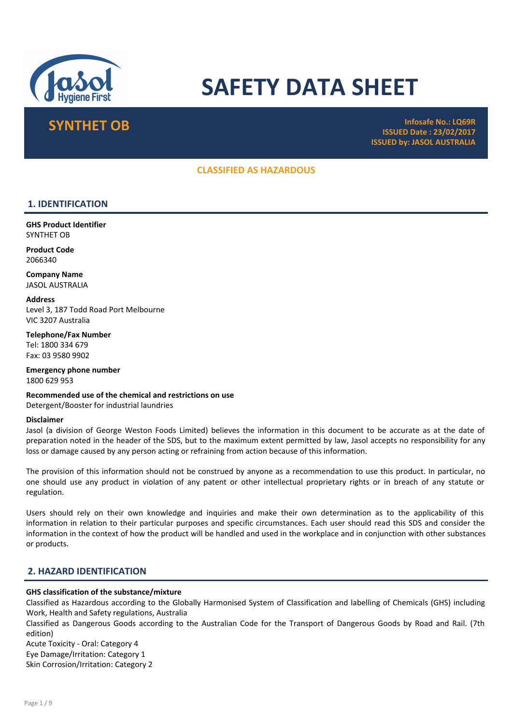

# SAFETY DATA SHEET

SYNTHET OB Infosafe No.: LQ69R ISSUED Date : 23/02/2017 ISSUED by: JASOL AUSTRALIA

# CLASSIFIED AS HAZARDOUS

# 1. IDENTIFICATION

GHS Product Identifier SYNTHET OB

Product Code 2066340

Company Name JASOL AUSTRALIA

**Address** Level 3, 187 Todd Road Port Melbourne VIC 3207 Australia

Telephone/Fax Number Tel: 1800 334 679 Fax: 03 9580 9902

Emergency phone number 1800 629 953

Recommended use of the chemical and restrictions on use Detergent/Booster for industrial laundries

#### Disclaimer

Jasol (a division of George Weston Foods Limited) believes the information in this document to be accurate as at the date of preparation noted in the header of the SDS, but to the maximum extent permitted by law, Jasol accepts no responsibility for any loss or damage caused by any person acting or refraining from action because of this information.

The provision of this information should not be construed by anyone as a recommendation to use this product. In particular, no one should use any product in violation of any patent or other intellectual proprietary rights or in breach of any statute or regulation.

Users should rely on their own knowledge and inquiries and make their own determination as to the applicability of this information in relation to their particular purposes and specific circumstances. Each user should read this SDS and consider the information in the context of how the product will be handled and used in the workplace and in conjunction with other substances or products.

# 2. HAZARD IDENTIFICATION

#### GHS classification of the substance/mixture

Classified as Hazardous according to the Globally Harmonised System of Classification and labelling of Chemicals (GHS) including Work, Health and Safety regulations, Australia

Classified as Dangerous Goods according to the Australian Code for the Transport of Dangerous Goods by Road and Rail. (7th edition)

Acute Toxicity - Oral: Category 4 Eye Damage/Irritation: Category 1 Skin Corrosion/Irritation: Category 2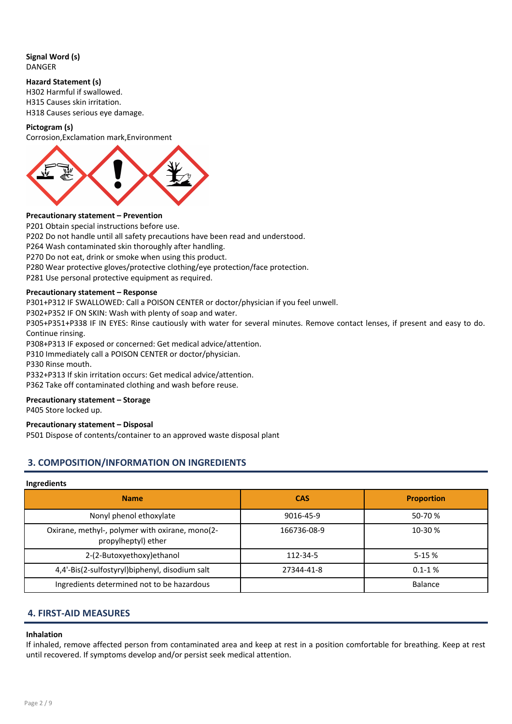Signal Word (s) DANGER

#### Hazard Statement (s)

H302 Harmful if swallowed. H315 Causes skin irritation. H318 Causes serious eye damage.

#### Pictogram (s)

Corrosion,Exclamation mark,Environment



#### Precautionary statement – Prevention

P201 Obtain special instructions before use.

P202 Do not handle until all safety precautions have been read and understood.

P264 Wash contaminated skin thoroughly after handling.

P270 Do not eat, drink or smoke when using this product.

P280 Wear protective gloves/protective clothing/eye protection/face protection.

P281 Use personal protective equipment as required.

#### Precautionary statement – Response

P301+P312 IF SWALLOWED: Call a POISON CENTER or doctor/physician if you feel unwell.

P302+P352 IF ON SKIN: Wash with plenty of soap and water.

P305+P351+P338 IF IN EYES: Rinse cautiously with water for several minutes. Remove contact lenses, if present and easy to do. Continue rinsing.

P308+P313 IF exposed or concerned: Get medical advice/attention.

P310 Immediately call a POISON CENTER or doctor/physician.

P330 Rinse mouth.

P332+P313 If skin irritation occurs: Get medical advice/attention.

P362 Take off contaminated clothing and wash before reuse.

#### Precautionary statement – Storage

P405 Store locked up.

#### Precautionary statement – Disposal

P501 Dispose of contents/container to an approved waste disposal plant

# 3. COMPOSITION/INFORMATION ON INGREDIENTS

#### Ingredients

| <b>Name</b>                                                            | <b>CAS</b>  | <b>Proportion</b> |
|------------------------------------------------------------------------|-------------|-------------------|
| Nonyl phenol ethoxylate                                                | 9016-45-9   | 50-70 %           |
| Oxirane, methyl-, polymer with oxirane, mono(2-<br>propylheptyl) ether | 166736-08-9 | 10-30 %           |
| 2-(2-Butoxyethoxy) ethanol                                             | 112-34-5    | $5 - 15%$         |
| 4,4'-Bis(2-sulfostyryl)biphenyl, disodium salt                         | 27344-41-8  | $0.1 - 1%$        |
| Ingredients determined not to be hazardous                             |             | Balance           |

# 4. FIRST-AID MEASURES

#### Inhalation

If inhaled, remove affected person from contaminated area and keep at rest in a position comfortable for breathing. Keep at rest until recovered. If symptoms develop and/or persist seek medical attention.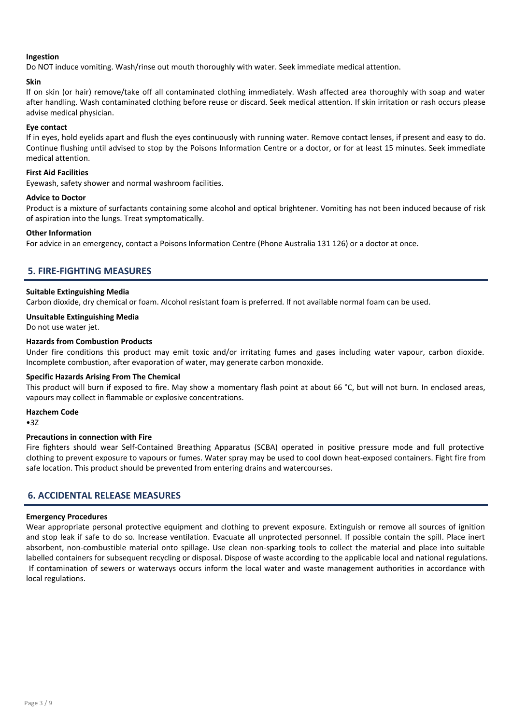#### Ingestion

Do NOT induce vomiting. Wash/rinse out mouth thoroughly with water. Seek immediate medical attention.

#### Skin

If on skin (or hair) remove/take off all contaminated clothing immediately. Wash affected area thoroughly with soap and water after handling. Wash contaminated clothing before reuse or discard. Seek medical attention. If skin irritation or rash occurs please advise medical physician.

#### Eye contact

If in eyes, hold eyelids apart and flush the eyes continuously with running water. Remove contact lenses, if present and easy to do. Continue flushing until advised to stop by the Poisons Information Centre or a doctor, or for at least 15 minutes. Seek immediate medical attention.

#### First Aid Facilities

Eyewash, safety shower and normal washroom facilities.

#### Advice to Doctor

Product is a mixture of surfactants containing some alcohol and optical brightener. Vomiting has not been induced because of risk of aspiration into the lungs. Treat symptomatically.

#### Other Information

For advice in an emergency, contact a Poisons Information Centre (Phone Australia 131 126) or a doctor at once.

# 5. FIRE-FIGHTING MEASURES

#### Suitable Extinguishing Media

Carbon dioxide, dry chemical or foam. Alcohol resistant foam is preferred. If not available normal foam can be used.

#### Unsuitable Extinguishing Media

Do not use water jet.

#### Hazards from Combustion Products

Under fire conditions this product may emit toxic and/or irritating fumes and gases including water vapour, carbon dioxide. Incomplete combustion, after evaporation of water, may generate carbon monoxide.

#### Specific Hazards Arising From The Chemical

This product will burn if exposed to fire. May show a momentary flash point at about 66 °C, but will not burn. In enclosed areas, vapours may collect in flammable or explosive concentrations.

#### Hazchem Code

•3Z

#### Precautions in connection with Fire

Fire fighters should wear Self-Contained Breathing Apparatus (SCBA) operated in positive pressure mode and full protective clothing to prevent exposure to vapours or fumes. Water spray may be used to cool down heat-exposed containers. Fight fire from safe location. This product should be prevented from entering drains and watercourses.

# 6. ACCIDENTAL RELEASE MEASURES

#### Emergency Procedures

Wear appropriate personal protective equipment and clothing to prevent exposure. Extinguish or remove all sources of ignition and stop leak if safe to do so. Increase ventilation. Evacuate all unprotected personnel. If possible contain the spill. Place inert absorbent, non-combustible material onto spillage. Use clean non-sparking tools to collect the material and place into suitable labelled containers for subsequent recycling or disposal. Dispose of waste according to the applicable local and national regulations. If contamination of sewers or waterways occurs inform the local water and waste management authorities in accordance with local regulations.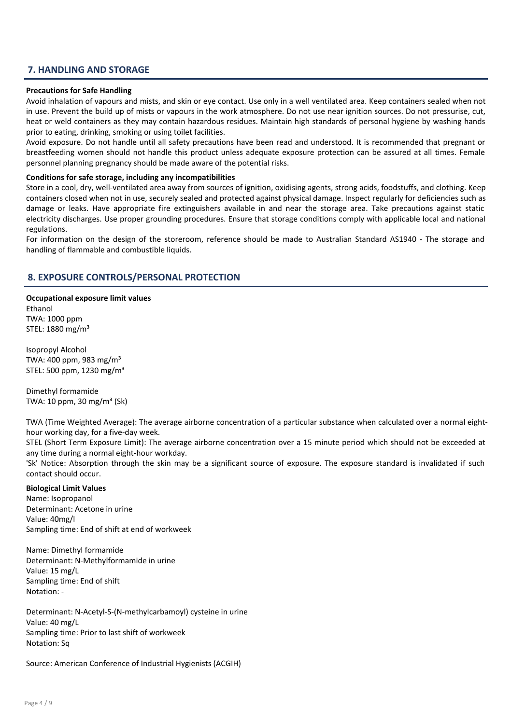# 7. HANDLING AND STORAGE

#### Precautions for Safe Handling

Avoid inhalation of vapours and mists, and skin or eye contact. Use only in a well ventilated area. Keep containers sealed when not in use. Prevent the build up of mists or vapours in the work atmosphere. Do not use near ignition sources. Do not pressurise, cut, heat or weld containers as they may contain hazardous residues. Maintain high standards of personal hygiene by washing hands prior to eating, drinking, smoking or using toilet facilities.

Avoid exposure. Do not handle until all safety precautions have been read and understood. It is recommended that pregnant or breastfeeding women should not handle this product unless adequate exposure protection can be assured at all times. Female personnel planning pregnancy should be made aware of the potential risks.

#### Conditions for safe storage, including any incompatibilities

Store in a cool, dry, well-ventilated area away from sources of ignition, oxidising agents, strong acids, foodstuffs, and clothing. Keep containers closed when not in use, securely sealed and protected against physical damage. Inspect regularly for deficiencies such as damage or leaks. Have appropriate fire extinguishers available in and near the storage area. Take precautions against static electricity discharges. Use proper grounding procedures. Ensure that storage conditions comply with applicable local and national regulations.

For information on the design of the storeroom, reference should be made to Australian Standard AS1940 - The storage and handling of flammable and combustible liquids.

# 8. EXPOSURE CONTROLS/PERSONAL PROTECTION

Occupational exposure limit values Ethanol TWA: 1000 ppm STEL: 1880 mg/m³

Isopropyl Alcohol TWA: 400 ppm, 983 mg/m³ STEL: 500 ppm, 1230 mg/m³

Dimethyl formamide TWA:  $10$  ppm,  $30$  mg/m<sup>3</sup> (Sk)

TWA (Time Weighted Average): The average airborne concentration of a particular substance when calculated over a normal eighthour working day, for a five-day week.

STEL (Short Term Exposure Limit): The average airborne concentration over a 15 minute period which should not be exceeded at any time during a normal eight-hour workday.

'Sk' Notice: Absorption through the skin may be a significant source of exposure. The exposure standard is invalidated if such contact should occur.

#### Biological Limit Values

Name: Isopropanol Determinant: Acetone in urine Value: 40mg/l Sampling time: End of shift at end of workweek

Name: Dimethyl formamide Determinant: N-Methylformamide in urine Value: 15 mg/L Sampling time: End of shift Notation: -

Determinant: N-Acetyl-S-(N-methylcarbamoyl) cysteine in urine Value: 40 mg/L Sampling time: Prior to last shift of workweek Notation: Sq

Source: American Conference of Industrial Hygienists (ACGIH)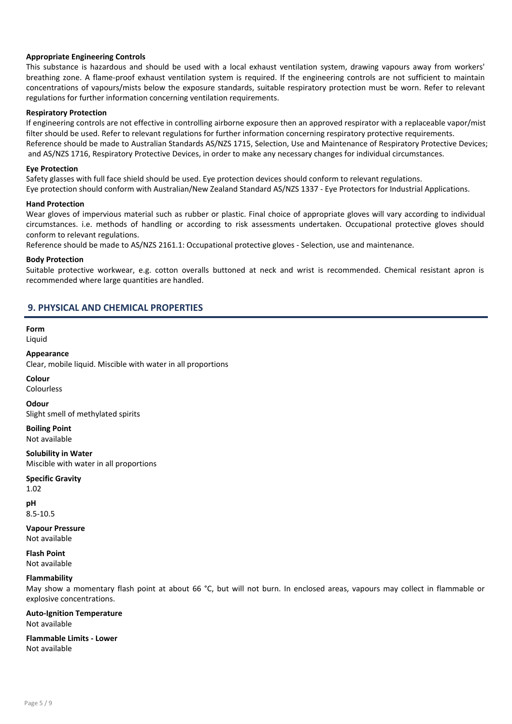#### Appropriate Engineering Controls

This substance is hazardous and should be used with a local exhaust ventilation system, drawing vapours away from workers' breathing zone. A flame-proof exhaust ventilation system is required. If the engineering controls are not sufficient to maintain concentrations of vapours/mists below the exposure standards, suitable respiratory protection must be worn. Refer to relevant regulations for further information concerning ventilation requirements.

#### Respiratory Protection

If engineering controls are not effective in controlling airborne exposure then an approved respirator with a replaceable vapor/mist filter should be used. Refer to relevant regulations for further information concerning respiratory protective requirements. Reference should be made to Australian Standards AS/NZS 1715, Selection, Use and Maintenance of Respiratory Protective Devices; and AS/NZS 1716, Respiratory Protective Devices, in order to make any necessary changes for individual circumstances.

#### Eye Protection

Safety glasses with full face shield should be used. Eye protection devices should conform to relevant regulations. Eye protection should conform with Australian/New Zealand Standard AS/NZS 1337 - Eye Protectors for Industrial Applications.

#### Hand Protection

Wear gloves of impervious material such as rubber or plastic. Final choice of appropriate gloves will vary according to individual circumstances. i.e. methods of handling or according to risk assessments undertaken. Occupational protective gloves should conform to relevant regulations.

Reference should be made to AS/NZS 2161.1: Occupational protective gloves - Selection, use and maintenance.

#### Body Protection

Suitable protective workwear, e.g. cotton overalls buttoned at neck and wrist is recommended. Chemical resistant apron is recommended where large quantities are handled.

# 9. PHYSICAL AND CHEMICAL PROPERTIES

# Form

Liquid

#### Appearance

Clear, mobile liquid. Miscible with water in all proportions

# Colour

Colourless

#### Odour

Slight smell of methylated spirits

Boiling Point Not available

Solubility in Water Miscible with water in all proportions

# Specific Gravity

1.02

pH 8.5-10.5

Vapour Pressure Not available

#### Flash Point Not available

#### Flammability

May show a momentary flash point at about 66 °C, but will not burn. In enclosed areas, vapours may collect in flammable or explosive concentrations.

#### Auto-Ignition Temperature Not available

Flammable Limits - Lower Not available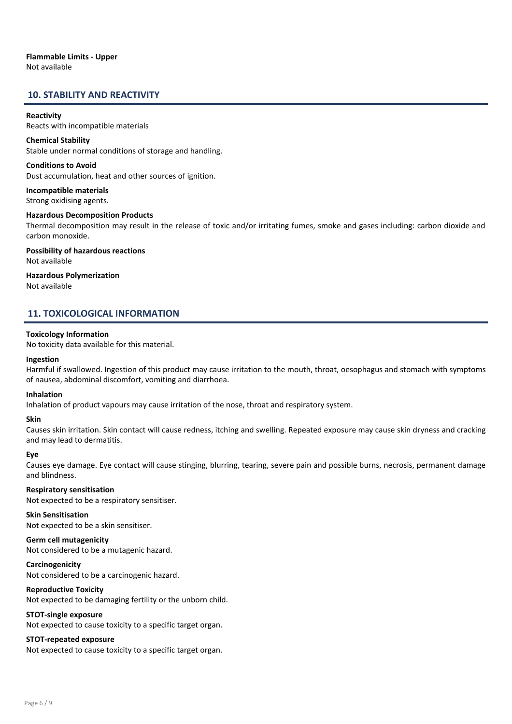### Flammable Limits - Upper Not available

# 10. STABILITY AND REACTIVITY

#### **Reactivity**

Reacts with incompatible materials

Chemical Stability Stable under normal conditions of storage and handling.

Conditions to Avoid Dust accumulation, heat and other sources of ignition.

Incompatible materials Strong oxidising agents.

Hazardous Decomposition Products

Thermal decomposition may result in the release of toxic and/or irritating fumes, smoke and gases including: carbon dioxide and carbon monoxide.

Possibility of hazardous reactions Not available

#### Hazardous Polymerization Not available

# 11. TOXICOLOGICAL INFORMATION

#### Toxicology Information

No toxicity data available for this material.

#### Ingestion

Harmful if swallowed. Ingestion of this product may cause irritation to the mouth, throat, oesophagus and stomach with symptoms of nausea, abdominal discomfort, vomiting and diarrhoea.

#### Inhalation

Inhalation of product vapours may cause irritation of the nose, throat and respiratory system.

#### Skin

Causes skin irritation. Skin contact will cause redness, itching and swelling. Repeated exposure may cause skin dryness and cracking and may lead to dermatitis.

#### Eye

Causes eye damage. Eye contact will cause stinging, blurring, tearing, severe pain and possible burns, necrosis, permanent damage and blindness.

#### Respiratory sensitisation

Not expected to be a respiratory sensitiser.

### Skin Sensitisation

Not expected to be a skin sensitiser.

Germ cell mutagenicity Not considered to be a mutagenic hazard.

**Carcinogenicity** 

Not considered to be a carcinogenic hazard.

#### Reproductive Toxicity

Not expected to be damaging fertility or the unborn child.

#### STOT-single exposure

Not expected to cause toxicity to a specific target organ.

#### STOT-repeated exposure

Not expected to cause toxicity to a specific target organ.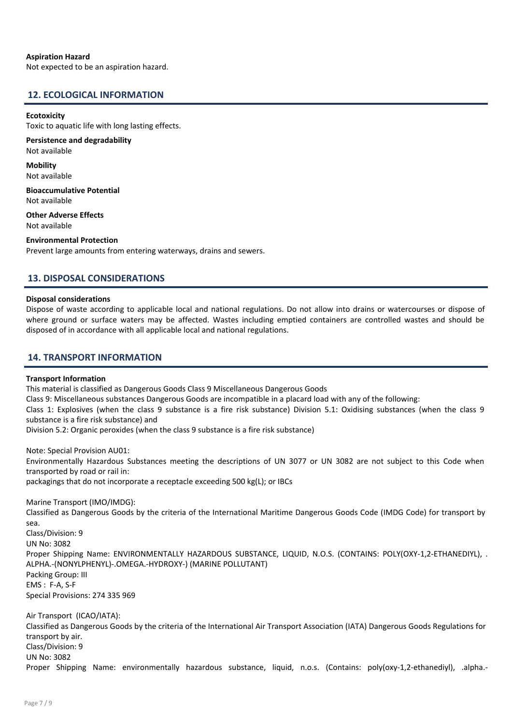#### Aspiration Hazard

Not expected to be an aspiration hazard.

#### 12. ECOLOGICAL INFORMATION

#### **Ecotoxicity**

Toxic to aquatic life with long lasting effects.

#### Persistence and degradability Not available

**Mobility** Not available

Bioaccumulative Potential Not available

Other Adverse Effects Not available

#### Environmental Protection

Prevent large amounts from entering waterways, drains and sewers.

# 13. DISPOSAL CONSIDERATIONS

#### Disposal considerations

Dispose of waste according to applicable local and national regulations. Do not allow into drains or watercourses or dispose of where ground or surface waters may be affected. Wastes including emptied containers are controlled wastes and should be disposed of in accordance with all applicable local and national regulations.

# 14. TRANSPORT INFORMATION

#### Transport Information

This material is classified as Dangerous Goods Class 9 Miscellaneous Dangerous Goods

Class 9: Miscellaneous substances Dangerous Goods are incompatible in a placard load with any of the following:

Class 1: Explosives (when the class 9 substance is a fire risk substance) Division 5.1: Oxidising substances (when the class 9 substance is a fire risk substance) and

Division 5.2: Organic peroxides (when the class 9 substance is a fire risk substance)

Note: Special Provision AU01: Environmentally Hazardous Substances meeting the descriptions of UN 3077 or UN 3082 are not subject to this Code when transported by road or rail in: packagings that do not incorporate a receptacle exceeding 500 kg(L); or IBCs

Marine Transport (IMO/IMDG):

Classified as Dangerous Goods by the criteria of the International Maritime Dangerous Goods Code (IMDG Code) for transport by sea.

Class/Division: 9 UN No: 3082 Proper Shipping Name: ENVIRONMENTALLY HAZARDOUS SUBSTANCE, LIQUID, N.O.S. (CONTAINS: POLY(OXY-1,2-ETHANEDIYL), . ALPHA.-(NONYLPHENYL)-.OMEGA.-HYDROXY-) (MARINE POLLUTANT) Packing Group: III EMS : F-A, S-F Special Provisions: 274 335 969

Air Transport (ICAO/IATA): Classified as Dangerous Goods by the criteria of the International Air Transport Association (IATA) Dangerous Goods Regulations for transport by air. Class/Division: 9 UN No: 3082 Proper Shipping Name: environmentally hazardous substance, liquid, n.o.s. (Contains: poly(oxy-1,2-ethanediyl), .alpha.-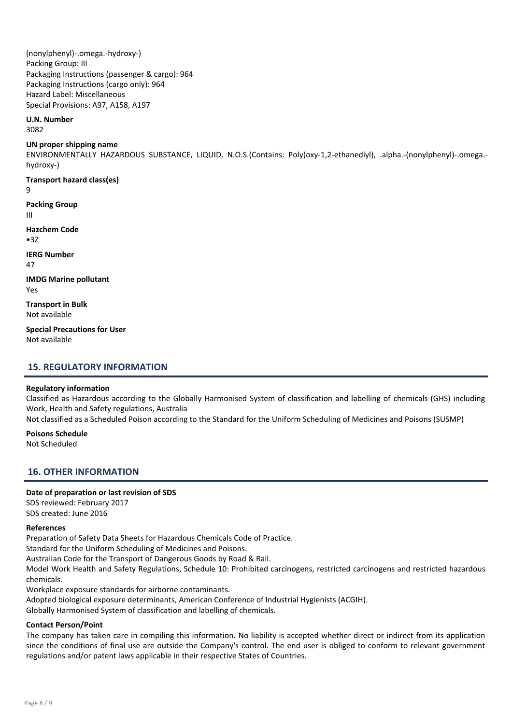(nonylphenyl)-.omega.-hydroxy-) Packing Group: III Packaging Instructions (passenger & cargo): 964 Packaging Instructions (cargo only): 964 Hazard Label: Miscellaneous Special Provisions: A97, A158, A197

#### U.N. Number

3082

#### UN proper shipping name

ENVIRONMENTALLY HAZARDOUS SUBSTANCE, LIQUID, N.O.S.(Contains: Poly(oxy-1,2-ethanediyl), .alpha.-(nonylphenyl)-.omega. hydroxy-)

Transport hazard class(es) 9

Packing Group III

Hazchem Code •3Z

IERG Number 47

IMDG Marine pollutant Yes

Transport in Bulk Not available

Special Precautions for User Not available

# 15. REGULATORY INFORMATION

#### Regulatory information

Classified as Hazardous according to the Globally Harmonised System of classification and labelling of chemicals (GHS) including Work, Health and Safety regulations, Australia

Not classified as a Scheduled Poison according to the Standard for the Uniform Scheduling of Medicines and Poisons (SUSMP)

#### Poisons Schedule

Not Scheduled

# 16. OTHER INFORMATION

#### Date of preparation or last revision of SDS

SDS reviewed: February 2017 SDS created: June 2016

#### References

Preparation of Safety Data Sheets for Hazardous Chemicals Code of Practice. Standard for the Uniform Scheduling of Medicines and Poisons. Australian Code for the Transport of Dangerous Goods by Road & Rail. Model Work Health and Safety Regulations, Schedule 10: Prohibited carcinogens, restricted carcinogens and restricted hazardous chemicals. Workplace exposure standards for airborne contaminants.

Adopted biological exposure determinants, American Conference of Industrial Hygienists (ACGIH).

Globally Harmonised System of classification and labelling of chemicals.

#### Contact Person/Point

The company has taken care in compiling this information. No liability is accepted whether direct or indirect from its application since the conditions of final use are outside the Company's control. The end user is obliged to conform to relevant government regulations and/or patent laws applicable in their respective States of Countries.